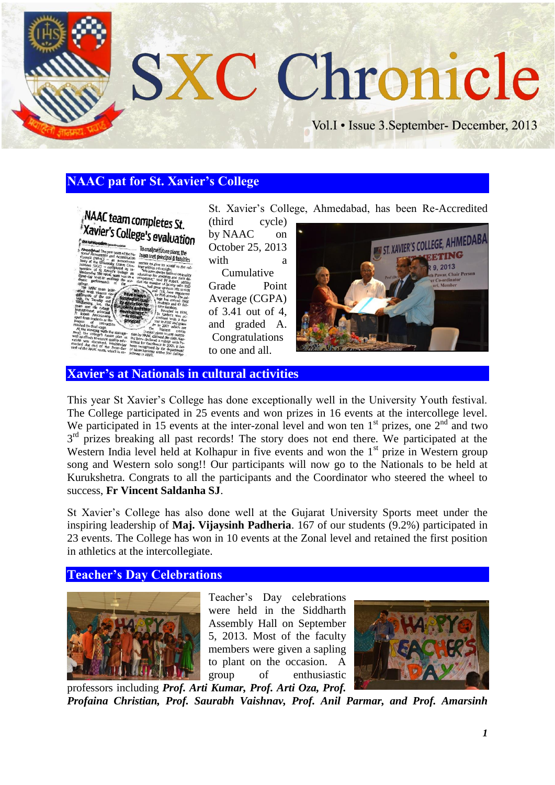

# **NAAC pat for St. Xavier's College**



St. Xavier's College, Ahmedabad, has been Re-Accredited

(third cycle) by NAAC on October 25, 2013 with a Cumulative Grade Point Average (CGPA) of 3.41 out of 4, and graded A. Congratulations

to one and all.



**Xavier's at Nationals in cultural activities**

This year St Xavier's College has done exceptionally well in the University Youth festival. The College participated in 25 events and won prizes in 16 events at the intercollege level. We participated in 15 events at the inter-zonal level and won ten  $1<sup>st</sup>$  prizes, one  $2<sup>nd</sup>$  and two 3<sup>rd</sup> prizes breaking all past records! The story does not end there. We participated at the Western India level held at Kolhapur in five events and won the  $1<sup>st</sup>$  prize in Western group song and Western solo song!! Our participants will now go to the Nationals to be held at Kurukshetra. Congrats to all the participants and the Coordinator who steered the wheel to success, **Fr Vincent Saldanha SJ**.

St Xavier's College has also done well at the Gujarat University Sports meet under the inspiring leadership of **Maj. Vijaysinh Padheria**. 167 of our students (9.2%) participated in 23 events. The College has won in 10 events at the Zonal level and retained the first position in athletics at the intercollegiate.

### **Teacher's Day Celebrations**



Teacher's Day celebrations were held in the Siddharth Assembly Hall on September 5, 2013. Most of the faculty members were given a sapling to plant on the occasion. A group of enthusiastic



professors including *Prof. Arti Kumar, Prof. Arti Oza, Prof. Profaina Christian, Prof. Saurabh Vaishnav, Prof. Anil Parmar, and Prof. Amarsinh*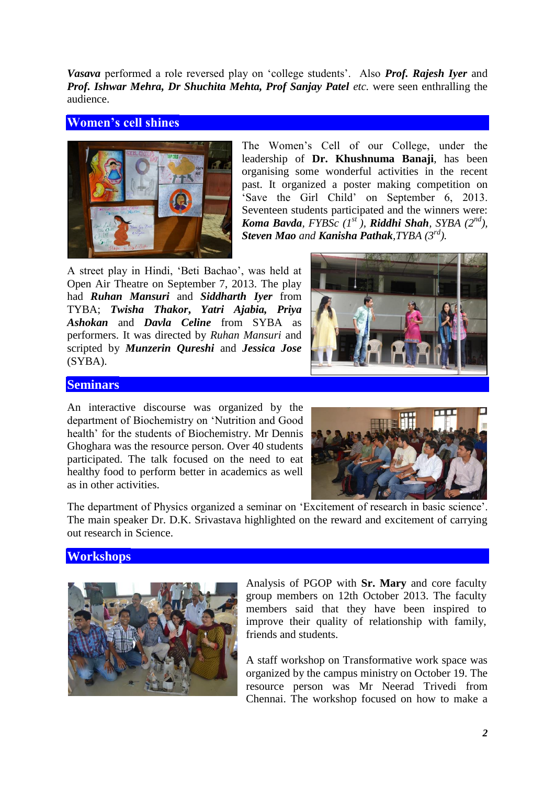*Vasava* performed a role reversed play on 'college students'. Also *Prof. Rajesh Iyer* and *Prof. Ishwar Mehra, Dr Shuchita Mehta, Prof Sanjay Patel etc.* were seen enthralling the audience.

## **Women's cell shines**



The Women's Cell of our College, under the leadership of **Dr. Khushnuma Banaji**, has been organising some wonderful activities in the recent past. It organized a poster making competition on 'Save the Girl Child' on September 6, 2013. Seventeen students participated and the winners were: *Koma Bavda, FYBSc (1st ), Riddhi Shah, SYBA (2nd), Steven Mao and Kanisha Pathak,TYBA (3rd).* 

A street play in Hindi, 'Beti Bachao', was held at Open Air Theatre on September 7, 2013. The play had *Ruhan Mansuri* and *Siddharth Iyer* from TYBA; *Twisha Thakor***,** *Yatri Ajabia, Priya Ashokan* and *Davla Celine* from SYBA as performers. It was directed by *Ruhan Mansuri* and scripted by *Munzerin Qureshi* and *Jessica Jose* (SYBA).



## **Seminars**

An interactive discourse was organized by the department of Biochemistry on 'Nutrition and Good health' for the students of Biochemistry. Mr Dennis Ghoghara was the resource person. Over 40 students participated. The talk focused on the need to eat healthy food to perform better in academics as well as in other activities.



The department of Physics organized a seminar on 'Excitement of research in basic science'. The main speaker Dr. D.K. Srivastava highlighted on the reward and excitement of carrying out research in Science.

## **Workshops**



Analysis of PGOP with **Sr. Mary** and core faculty group members on 12th October 2013. The faculty members said that they have been inspired to improve their quality of relationship with family, friends and students.

A staff workshop on Transformative work space was organized by the campus ministry on October 19. The resource person was Mr Neerad Trivedi from Chennai. The workshop focused on how to make a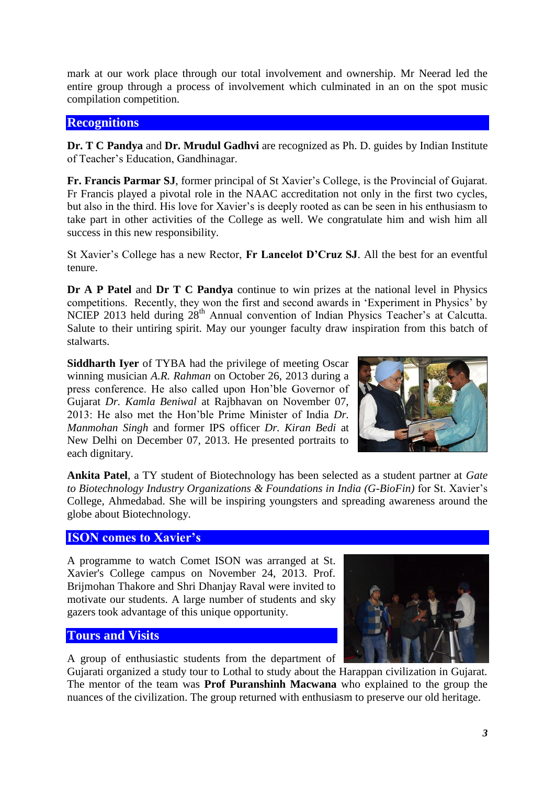mark at our work place through our total involvement and ownership. Mr Neerad led the entire group through a process of involvement which culminated in an on the spot music compilation competition.

## **Recognitions**

**Dr. T C Pandya** and **Dr. Mrudul Gadhvi** are recognized as Ph. D. guides by Indian Institute of Teacher's Education, Gandhinagar.

**Fr. Francis Parmar SJ**, former principal of St Xavier's College, is the Provincial of Gujarat. Fr Francis played a pivotal role in the NAAC accreditation not only in the first two cycles, but also in the third. His love for Xavier's is deeply rooted as can be seen in his enthusiasm to take part in other activities of the College as well. We congratulate him and wish him all success in this new responsibility.

St Xavier's College has a new Rector, **Fr Lancelot D'Cruz SJ**. All the best for an eventful tenure.

**Dr A P Patel** and **Dr T C Pandya** continue to win prizes at the national level in Physics competitions. Recently, they won the first and second awards in 'Experiment in Physics' by NCIEP 2013 held during 28<sup>th</sup> Annual convention of Indian Physics Teacher's at Calcutta. Salute to their untiring spirit. May our younger faculty draw inspiration from this batch of stalwarts.

**Siddharth Iyer** of TYBA had the privilege of meeting Oscar winning musician *A.R. Rahman* on October 26, 2013 during a press conference. He also called upon Hon'ble Governor of Gujarat *Dr. Kamla Beniwal* at Rajbhavan on November 07, 2013: He also met the Hon'ble Prime Minister of India *Dr. Manmohan Singh* and former IPS officer *Dr. Kiran Bedi* at New Delhi on December 07, 2013. He presented portraits to each dignitary.



**Ankita Patel**, a TY student of Biotechnology has been selected as a student partner at *Gate to Biotechnology Industry Organizations & Foundations in India (G-BioFin)* for St. Xavier's College, Ahmedabad. She will be inspiring youngsters and spreading awareness around the globe about Biotechnology.

# **ISON comes to Xavier's**

A programme to watch Comet ISON was arranged at St. Xavier's College campus on November 24, 2013. Prof. Brijmohan Thakore and Shri Dhanjay Raval were invited to motivate our students. A large number of students and sky gazers took advantage of this unique opportunity.

## **Tours and Visits**

A group of enthusiastic students from the department of



Gujarati organized a study tour to Lothal to study about the Harappan civilization in Gujarat. The mentor of the team was **Prof Puranshinh Macwana** who explained to the group the nuances of the civilization. The group returned with enthusiasm to preserve our old heritage.